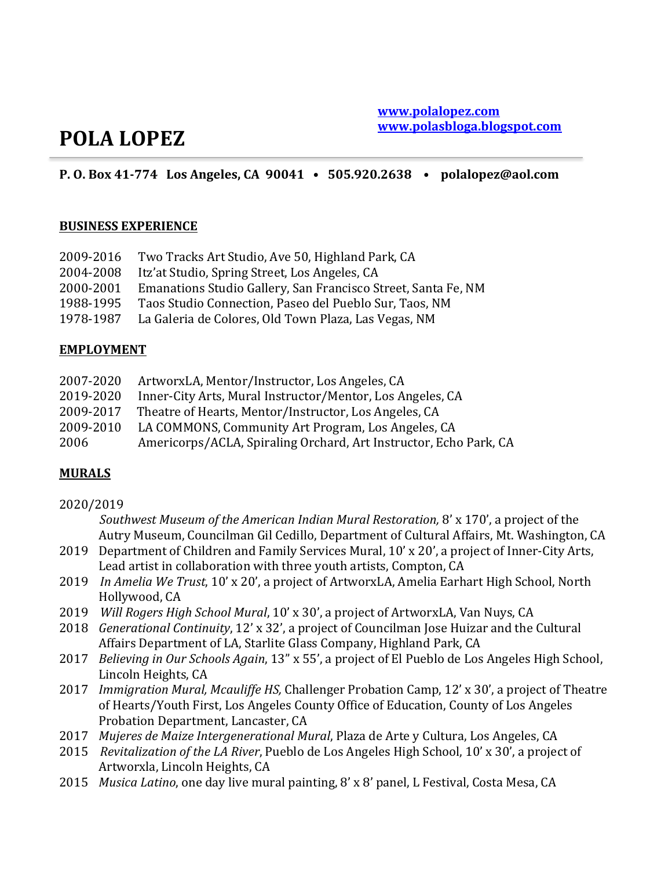# **POLA LOPEZ**

# **P. O. Box 41-774** Los Angeles, CA 90041 • 505.920.2638 • polalopez@aol.com

### **BUSINESS EXPERIENCE**

| 2009-2016 | Two Tracks Art Studio, Ave 50, Highland Park, CA              |
|-----------|---------------------------------------------------------------|
| 2004-2008 | Itz'at Studio, Spring Street, Los Angeles, CA                 |
| 2000-2001 | Emanations Studio Gallery, San Francisco Street, Santa Fe, NM |
| 1988-1995 | Taos Studio Connection, Paseo del Pueblo Sur, Taos, NM        |
| 1978-1987 | La Galeria de Colores, Old Town Plaza, Las Vegas, NM          |

### **EMPLOYMENT**

|           | 2007-2020 ArtworxLA, Mentor/Instructor, Los Angeles, CA           |
|-----------|-------------------------------------------------------------------|
| 2019-2020 | Inner-City Arts, Mural Instructor/Mentor, Los Angeles, CA         |
|           | 2009-2017 Theatre of Hearts, Mentor/Instructor, Los Angeles, CA   |
| 2009-2010 | LA COMMONS, Community Art Program, Los Angeles, CA                |
| 2006      | Americorps/ACLA, Spiraling Orchard, Art Instructor, Echo Park, CA |

## **MURALS**

#### 2020/2019

Southwest Museum of the American Indian Mural Restoration, 8' x 170', a project of the Autry Museum, Councilman Gil Cedillo, Department of Cultural Affairs, Mt. Washington, CA

- 2019 Department of Children and Family Services Mural, 10' x 20', a project of Inner-City Arts, Lead artist in collaboration with three youth artists, Compton, CA
- 2019 *In Amelia We Trust*, 10' x 20', a project of ArtworxLA, Amelia Earhart High School, North Hollywood, CA
- 2019 Will Rogers High School Mural, 10' x 30', a project of ArtworxLA, Van Nuys, CA
- 2018 *Generational Continuity*, 12' x 32', a project of Councilman Jose Huizar and the Cultural Affairs Department of LA, Starlite Glass Company, Highland Park, CA
- 2017 *Believing in Our Schools Again*, 13" x 55', a project of El Pueblo de Los Angeles High School, Lincoln Heights, CA
- 2017 *Immigration Mural, Mcauliffe HS, Challenger Probation Camp, 12' x 30', a project of Theatre* of Hearts/Youth First, Los Angeles County Office of Education, County of Los Angeles Probation Department, Lancaster, CA
- 2017 Mujeres de Maize Intergenerational Mural, Plaza de Arte y Cultura, Los Angeles, CA
- 2015 *Revitalization of the LA River*, Pueblo de Los Angeles High School, 10' x 30', a project of Artworxla, Lincoln Heights, CA
- 2015 *Musica Latino*, one day live mural painting, 8' x 8' panel, L Festival, Costa Mesa, CA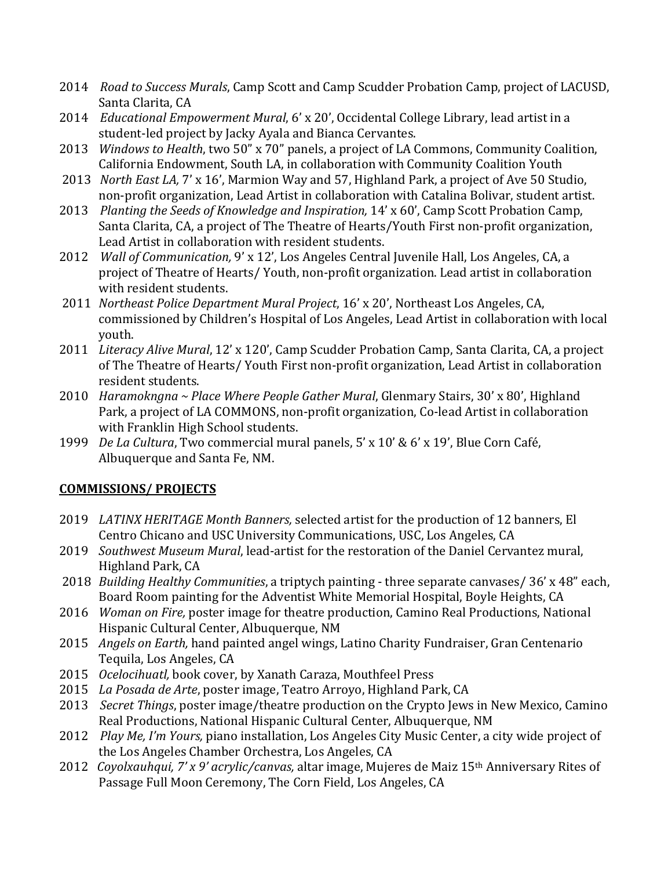- 2014 Road to Success Murals, Camp Scott and Camp Scudder Probation Camp, project of LACUSD, Santa Clarita, CA
- 2014 *Educational Empowerment Mural*, 6' x 20', Occidental College Library, lead artist in a student-led project by Jacky Ayala and Bianca Cervantes.
- 2013 *Windows to Health*, two 50" x 70" panels, a project of LA Commons, Community Coalition, California Endowment, South LA, in collaboration with Community Coalition Youth
- 2013 *North East LA, 7'x 16'*, Marmion Way and 57, Highland Park, a project of Ave 50 Studio, non-profit organization, Lead Artist in collaboration with Catalina Bolivar, student artist.
- 2013 Planting the Seeds of Knowledge and Inspiration, 14' x 60', Camp Scott Probation Camp, Santa Clarita, CA, a project of The Theatre of Hearts/Youth First non-profit organization, Lead Artist in collaboration with resident students.
- 2012 *Wall of Communication,* 9' x 12', Los Angeles Central Juvenile Hall, Los Angeles, CA, a project of Theatre of Hearts/ Youth, non-profit organization. Lead artist in collaboration with resident students.
- 2011 *Northeast Police Department Mural Project*, 16' x 20', Northeast Los Angeles, CA, commissioned by Children's Hospital of Los Angeles, Lead Artist in collaboration with local youth.
- 2011 Literacy Alive Mural, 12' x 120', Camp Scudder Probation Camp, Santa Clarita, CA, a project of The Theatre of Hearts/ Youth First non-profit organization, Lead Artist in collaboration resident students.
- 2010 *Haramokngna* ~ *Place Where People Gather Mural*, Glenmary Stairs, 30' x 80', Highland Park, a project of LA COMMONS, non-profit organization, Co-lead Artist in collaboration with Franklin High School students.
- 1999 *De La Cultura*, Two commercial mural panels, 5' x 10' & 6' x 19', Blue Corn Café, Albuquerque and Santa Fe, NM.

# **COMMISSIONS/ PROJECTS**

- 2019 *LATINX HERITAGE Month Banners, selected artist for the production of 12 banners, El* Centro Chicano and USC University Communications, USC, Los Angeles, CA
- 2019 *Southwest Museum Mural*, lead-artist for the restoration of the Daniel Cervantez mural, Highland Park, CA
- 2018 *Building Healthy Communities*, a triptych painting three separate canvases/ 36' x 48" each, Board Room painting for the Adventist White Memorial Hospital, Boyle Heights, CA
- 2016 *Woman on Fire,* poster image for theatre production, Camino Real Productions, National Hispanic Cultural Center, Albuquerque, NM
- 2015 *Angels on Earth,* hand painted angel wings, Latino Charity Fundraiser, Gran Centenario Tequila, Los Angeles, CA
- 2015 *Ocelocihuatl,* book cover, by Xanath Caraza, Mouthfeel Press
- 2015 *La Posada de Arte*, poster image, Teatro Arroyo, Highland Park, CA
- 2013 Secret Things, poster image/theatre production on the Crypto Jews in New Mexico, Camino Real Productions, National Hispanic Cultural Center, Albuquerque, NM
- 2012 Play Me, I'm Yours, piano installation, Los Angeles City Music Center, a city wide project of the Los Angeles Chamber Orchestra, Los Angeles, CA
- 2012 *Coyolxauhqui, 7'x 9' acrylic/canvas,* altar image, Mujeres de Maiz 15<sup>th</sup> Anniversary Rites of Passage Full Moon Ceremony, The Corn Field, Los Angeles, CA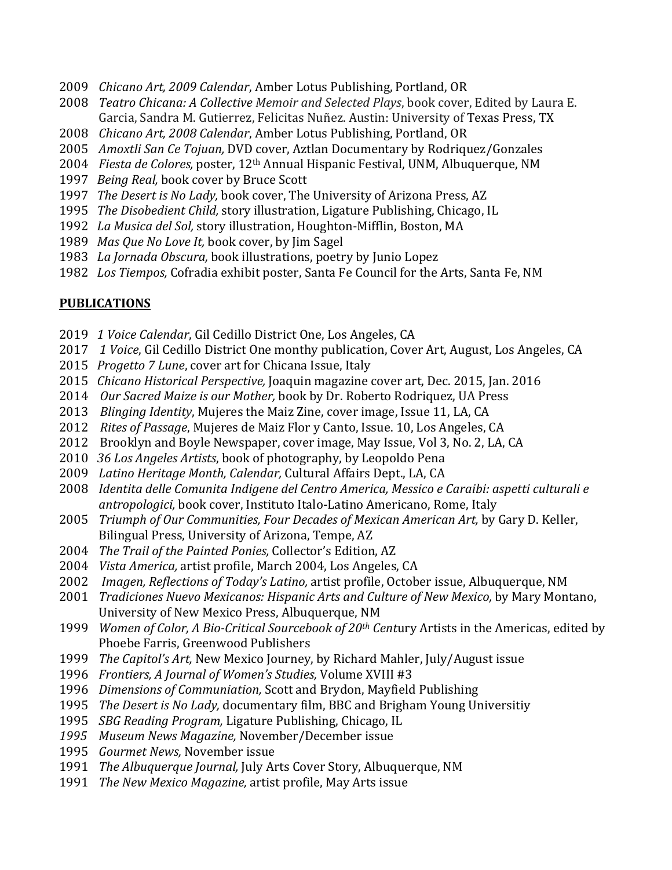- *Chicano Art, 2009 Calendar, Amber Lotus Publishing, Portland, OR*
- *Teatro Chicana: A Collective Memoir and Selected Plays*, book cover, Edited by Laura E. Garcia, Sandra M. Gutierrez, Felicitas Nuñez. Austin: University of Texas Press, TX
- *Chicano Art, 2008 Calendar*, Amber Lotus Publishing, Portland, OR
- *Amoxtli San Ce Tojuan, DVD cover, Aztlan Documentary by Rodriquez/Gonzales*
- *Fiesta de Colores,* poster, 12th Annual Hispanic Festival, UNM, Albuquerque, NM
- *Being Real, book cover by Bruce Scott*
- *The Desert is No Lady, book cover, The University of Arizona Press, AZ*
- *The Disobedient Child,* story illustration, Ligature Publishing, Chicago, IL
- 1992 La Musica del Sol, story illustration, Houghton-Mifflin, Boston, MA
- *Mas Que No Love It, book cover, by Jim Sagel*
- 1983 La Jornada Obscura, book illustrations, poetry by Junio Lopez
- *Los Tiempos,* Cofradia exhibit poster, Santa Fe Council for the Arts, Santa Fe, NM

# **PUBLICATIONS**

- 2019 1 Voice Calendar, Gil Cedillo District One, Los Angeles, CA
- 2017 1 *Voice*, Gil Cedillo District One monthy publication, Cover Art, August, Los Angeles, CA
- 2015 Progetto 7 Lune, cover art for Chicana Issue, Italy
- *Chicano Historical Perspective,* Joaquin magazine cover art, Dec. 2015, Jan. 2016
- *Our Sacred Maize is our Mother,* book by Dr. Roberto Rodriquez, UA Press
- *Blinging Identity*, Mujeres the Maiz Zine, cover image, Issue 11, LA, CA
- 2012 Rites of Passage, Mujeres de Maiz Flor y Canto, Issue. 10, Los Angeles, CA
- Brooklyn and Boyle Newspaper, cover image, May Issue, Vol 3, No. 2, LA, CA
- *36 Los Angeles Artists*, book of photography, by Leopoldo Pena
- 2009 Latino Heritage Month, Calendar, Cultural Affairs Dept., LA, CA
- *Identita delle Comunita Indigene del Centro America, Messico e Caraibi: aspetti culturali e* antropologici, book cover, Instituto Italo-Latino Americano, Rome, Italy
- *Triumph of Our Communities, Four Decades of Mexican American Art, by Gary D. Keller,* Bilingual Press, University of Arizona, Tempe, AZ
- *The Trail of the Painted Ponies, Collector's Edition, AZ*
- *Vista America,* artist profile, March 2004, Los Angeles, CA
- *Imagen, Reflections of Today's Latino,* artist profile, October issue, Albuquerque, NM
- *Tradiciones Nuevo Mexicanos: Hispanic Arts and Culture of New Mexico, by Mary Montano,* University of New Mexico Press, Albuquerque, NM
- 1999 *Women of Color, A Bio-Critical Sourcebook of 20<sup>th</sup> Century Artists in the Americas, edited by* Phoebe Farris, Greenwood Publishers
- *The Capitol's Art*, New Mexico Journey, by Richard Mahler, July/August issue
- *Frontiers, A Journal of Women's Studies, Volume XVIII* #3
- *Dimensions of Communiation,* Scott and Brydon, Mayfield Publishing
- *The Desert is No Lady,* documentary film, BBC and Brigham Young Universitiy
- *SBG Reading Program, Ligature Publishing, Chicago, IL*
- 1995 Museum News Magazine, November/December issue
- *Gourmet News, November issue*
- *The Albuquerque Journal, July Arts Cover Story, Albuquerque, NM*
- *The New Mexico Magazine,* artist profile, May Arts issue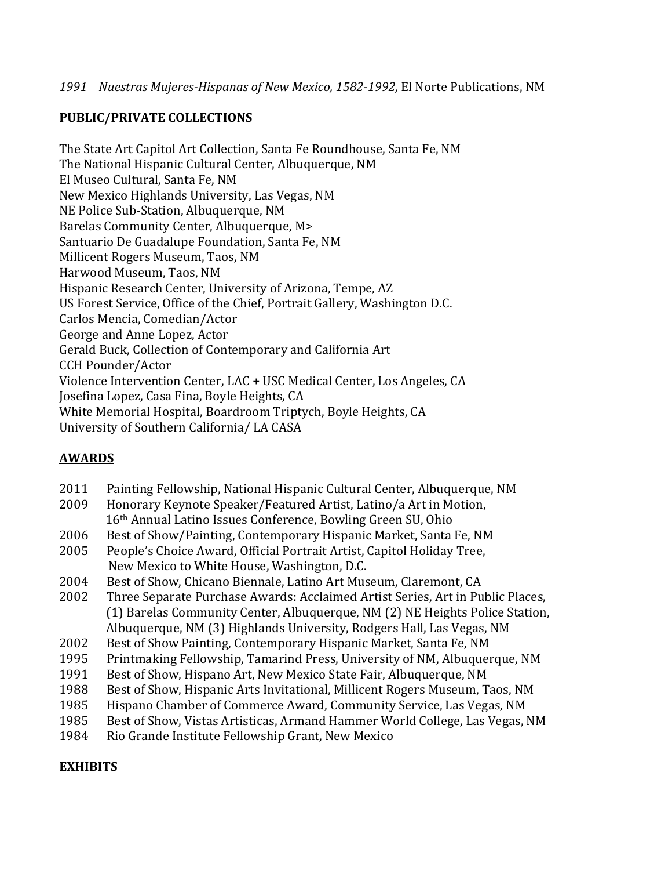# **PUBLIC/PRIVATE COLLECTIONS**

The State Art Capitol Art Collection, Santa Fe Roundhouse, Santa Fe, NM The National Hispanic Cultural Center, Albuquerque, NM El Museo Cultural, Santa Fe, NM New Mexico Highlands University, Las Vegas, NM NE Police Sub-Station, Albuquerque, NM Barelas Community Center, Albuquerque, M> Santuario De Guadalupe Foundation, Santa Fe, NM Millicent Rogers Museum, Taos, NM Harwood Museum, Taos, NM Hispanic Research Center, University of Arizona, Tempe, AZ US Forest Service, Office of the Chief, Portrait Gallery, Washington D.C. Carlos Mencia, Comedian/Actor George and Anne Lopez, Actor Gerald Buck, Collection of Contemporary and California Art CCH Pounder/Actor Violence Intervention Center, LAC + USC Medical Center, Los Angeles, CA Josefina Lopez, Casa Fina, Boyle Heights, CA White Memorial Hospital, Boardroom Triptych, Boyle Heights, CA University of Southern California/ LA CASA

# **AWARDS**

| 2011 | Painting Fellowship, National Hispanic Cultural Center, Albuquerque, NM        |
|------|--------------------------------------------------------------------------------|
| 2009 | Honorary Keynote Speaker/Featured Artist, Latino/a Art in Motion,              |
|      | 16th Annual Latino Issues Conference, Bowling Green SU, Ohio                   |
| 2006 | Best of Show/Painting, Contemporary Hispanic Market, Santa Fe, NM              |
| 2005 | People's Choice Award, Official Portrait Artist, Capitol Holiday Tree,         |
|      | New Mexico to White House, Washington, D.C.                                    |
| 2004 | Best of Show, Chicano Biennale, Latino Art Museum, Claremont, CA               |
| 2002 | Three Separate Purchase Awards: Acclaimed Artist Series, Art in Public Places, |
|      | (1) Barelas Community Center, Albuquerque, NM (2) NE Heights Police Station,   |
|      | Albuquerque, NM (3) Highlands University, Rodgers Hall, Las Vegas, NM          |
| 2002 | Best of Show Painting, Contemporary Hispanic Market, Santa Fe, NM              |
| 1995 | Printmaking Fellowship, Tamarind Press, University of NM, Albuquerque, NM      |
| 1991 | Best of Show, Hispano Art, New Mexico State Fair, Albuquerque, NM              |
| 1988 | Best of Show, Hispanic Arts Invitational, Millicent Rogers Museum, Taos, NM    |
| 1985 | Hispano Chamber of Commerce Award, Community Service, Las Vegas, NM            |
| 1985 | Best of Show, Vistas Artisticas, Armand Hammer World College, Las Vegas, NM    |
| 1984 | Rio Grande Institute Fellowship Grant, New Mexico                              |

# **EXHIBITS**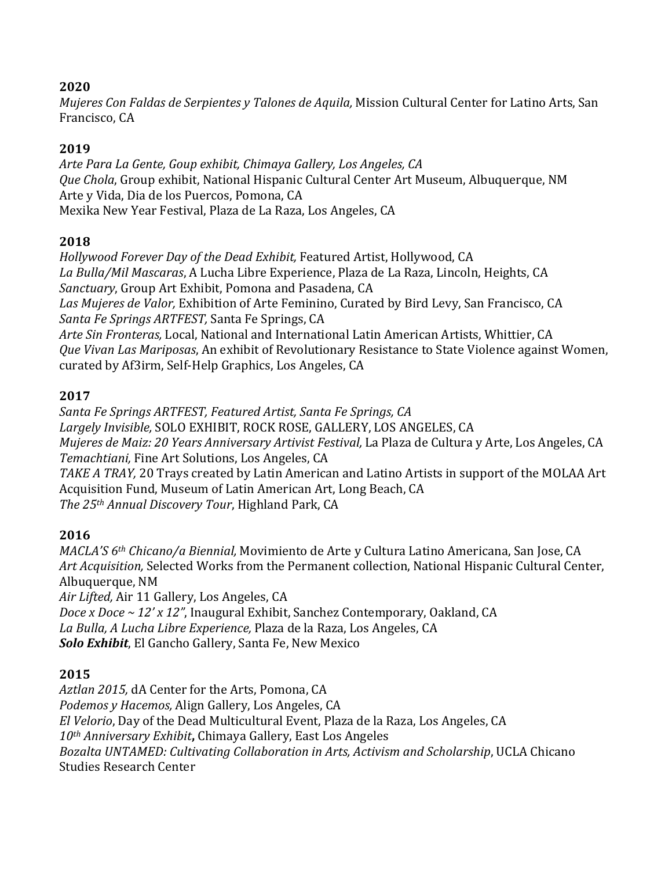# **2020**

*Mujeres Con Faldas de Serpientes y Talones de Aquila, Mission Cultural Center for Latino Arts, San* Francisco, CA

# **2019**

Arte Para La Gente, Goup exhibit, Chimaya Gallery, Los Angeles, CA Que Chola, Group exhibit, National Hispanic Cultural Center Art Museum, Albuquerque, NM Arte y Vida, Dia de los Puercos, Pomona, CA Mexika New Year Festival, Plaza de La Raza, Los Angeles, CA

# **2018**

*Hollywood Forever Day of the Dead Exhibit,* Featured Artist, Hollywood, CA La Bulla/Mil Mascaras, A Lucha Libre Experience, Plaza de La Raza, Lincoln, Heights, CA *Sanctuary*, Group Art Exhibit, Pomona and Pasadena, CA Las Mujeres de Valor, Exhibition of Arte Feminino, Curated by Bird Levy, San Francisco, CA *Santa Fe Springs ARTFEST,* Santa Fe Springs, CA Arte Sin Fronteras, Local, National and International Latin American Artists, Whittier, CA *Que Vivan Las Mariposas, An exhibit of Revolutionary Resistance to State Violence against Women,* curated by Af3irm, Self-Help Graphics, Los Angeles, CA

# **2017**

*Santa Fe Springs ARTFEST, Featured Artist, Santa Fe Springs, CA* Largely Invisible, SOLO EXHIBIT, ROCK ROSE, GALLERY, LOS ANGELES, CA *Mujeres de Maiz: 20 Years Anniversary Artivist Festival, La Plaza de Cultura y Arte, Los Angeles, CA Temachtiani,* Fine Art Solutions, Los Angeles, CA TAKE A TRAY, 20 Trays created by Latin American and Latino Artists in support of the MOLAA Art Acquisition Fund, Museum of Latin American Art, Long Beach, CA *The 25th Annual Discovery Tour*, Highland Park, CA

# **2016**

*MACLA'S* 6<sup>th</sup> *Chicano/a Biennial*, Movimiento de Arte y Cultura Latino Americana, San Jose, CA Art Acquisition, Selected Works from the Permanent collection, National Hispanic Cultural Center, Albuquerque, NM Air Lifted, Air 11 Gallery, Los Angeles, CA *Doce x Doce* ~ 12' x 12", Inaugural Exhibit, Sanchez Contemporary, Oakland, CA *La Bulla, A Lucha Libre Experience,* Plaza de la Raza, Los Angeles, CA **Solo Exhibit**, El Gancho Gallery, Santa Fe, New Mexico

# **2015**

Aztlan 2015, dA Center for the Arts, Pomona, CA *Podemos y Hacemos, Align Gallery, Los Angeles, CA El Velorio*, Day of the Dead Multicultural Event, Plaza de la Raza, Los Angeles, CA *10th Anniversary Exhibit***,** Chimaya Gallery, East Los Angeles *Bozalta UNTAMED: Cultivating Collaboration in Arts, Activism and Scholarship*, UCLA Chicano Studies Research Center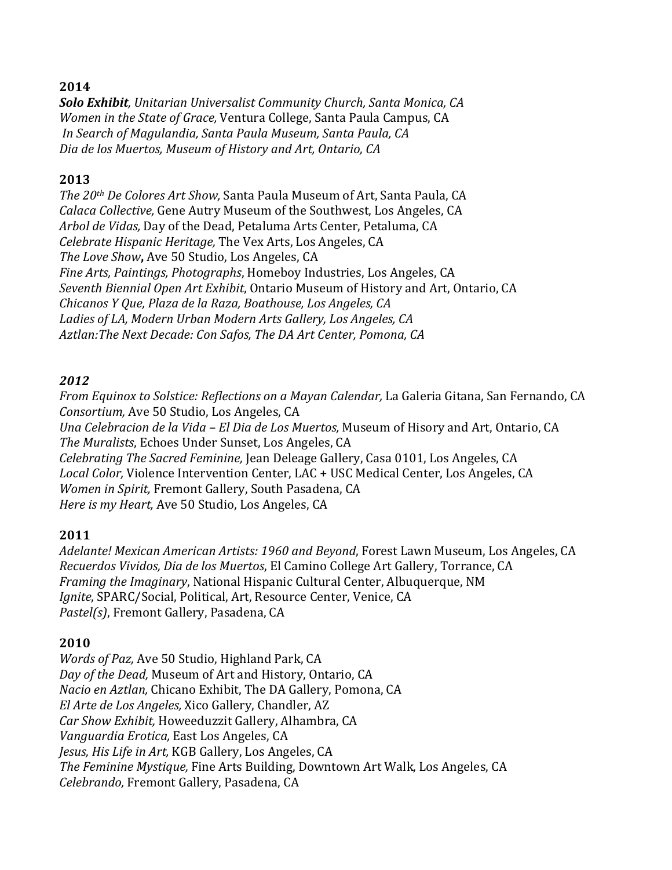# **2014**

**Solo Exhibit**, Unitarian Universalist Community Church, Santa Monica, CA *Women in the State of Grace,* Ventura College, Santa Paula Campus, CA *In Search of Magulandia, Santa Paula Museum, Santa Paula, CA Dia de los Muertos, Museum of History and Art, Ontario, CA*

# **2013**

*The 20th De Colores Art Show, Santa Paula Museum of Art, Santa Paula, CA Calaca Collective,* Gene Autry Museum of the Southwest, Los Angeles, CA Arbol de Vidas, Day of the Dead, Petaluma Arts Center, Petaluma, CA *Celebrate Hispanic Heritage,* The Vex Arts, Los Angeles, CA The Love Show, Ave 50 Studio, Los Angeles, CA *Fine Arts, Paintings, Photographs, Homeboy Industries, Los Angeles, CA Seventh Biennial Open Art Exhibit*, Ontario Museum of History and Art, Ontario, CA *Chicanos Y Que, Plaza de la Raza, Boathouse, Los Angeles, CA* Ladies of LA, Modern Urban Modern Arts Gallery, Los Angeles, CA Aztlan: The Next Decade: Con Safos, The DA Art Center, Pomona, CA

# *2012*

*From Equinox to Solstice: Reflections on a Mayan Calendar, La Galeria Gitana, San Fernando, CA Consortium, Ave 50 Studio, Los Angeles, CA Una Celebracion de la Vida – El Dia de Los Muertos,* Museum of Hisory and Art, Ontario, CA The Muralists, Echoes Under Sunset, Los Angeles, CA *Celebrating The Sacred Feminine,* Jean Deleage Gallery, Casa 0101, Los Angeles, CA Local Color, Violence Intervention Center, LAC + USC Medical Center, Los Angeles, CA *Women in Spirit, Fremont Gallery, South Pasadena, CA Here is my Heart, Ave 50 Studio, Los Angeles, CA* 

## **2011**

*Adelante! Mexican American Artists: 1960 and Beyond*, Forest Lawn Museum, Los Angeles, CA *Recuerdos Vividos, Dia de los Muertos*, El Camino College Art Gallery, Torrance, CA *Framing the Imaginary*, National Hispanic Cultural Center, Albuquerque, NM *Ignite*, SPARC/Social, Political, Art, Resource Center, Venice, CA Pastel(s), Fremont Gallery, Pasadena, CA

## **2010**

*Words of Paz, Ave 50 Studio, Highland Park, CA* Day of the Dead, Museum of Art and History, Ontario, CA *Nacio en Aztlan,* Chicano Exhibit, The DA Gallery, Pomona, CA *El Arte de Los Angeles,* Xico Gallery, Chandler, AZ *Car Show Exhibit,* Howeeduzzit Gallery, Alhambra, CA *Vanguardia Erotica,* East Los Angeles, CA *Jesus, His Life in Art, KGB Gallery, Los Angeles, CA* The Feminine Mystique, Fine Arts Building, Downtown Art Walk, Los Angeles, CA *Celebrando,* Fremont Gallery, Pasadena, CA